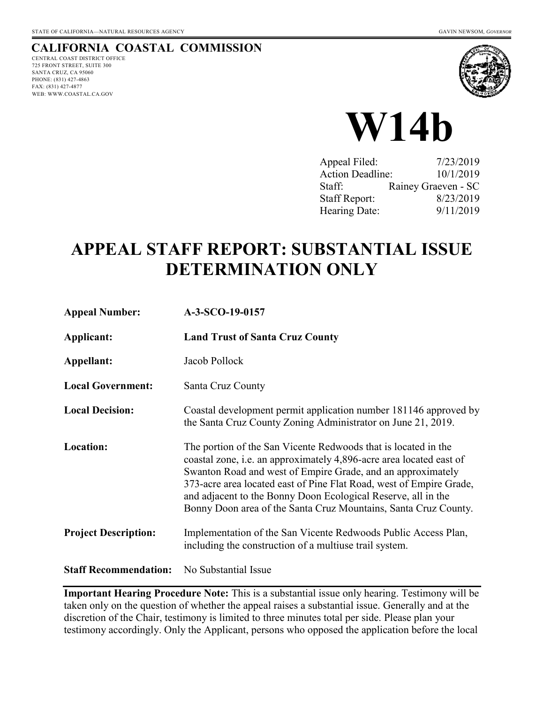# **CALIFORNIA COASTAL COMMISSION**

CENTRAL COAST DISTRICT OFFICE 725 FRONT STREET, SUITE 300 SANTA CRUZ, CA 95060 PHONE: (831) 427-4863 FAX: (831) 427-4877 WEB: WWW.COASTAL.CA.GOV





| Appeal Filed:           | 7/23/2019           |
|-------------------------|---------------------|
| <b>Action Deadline:</b> | 10/1/2019           |
| Staff:                  | Rainey Graeven - SC |
| <b>Staff Report:</b>    | 8/23/2019           |
| Hearing Date:           | 9/11/2019           |

# **APPEAL STAFF REPORT: SUBSTANTIAL ISSUE DETERMINATION ONLY**

| <b>Appeal Number:</b>        | A-3-SCO-19-0157                                                                                                                                                                                                                                                                                                                                                                                                        |
|------------------------------|------------------------------------------------------------------------------------------------------------------------------------------------------------------------------------------------------------------------------------------------------------------------------------------------------------------------------------------------------------------------------------------------------------------------|
| Applicant:                   | <b>Land Trust of Santa Cruz County</b>                                                                                                                                                                                                                                                                                                                                                                                 |
| Appellant:                   | Jacob Pollock                                                                                                                                                                                                                                                                                                                                                                                                          |
| <b>Local Government:</b>     | Santa Cruz County                                                                                                                                                                                                                                                                                                                                                                                                      |
| <b>Local Decision:</b>       | Coastal development permit application number 181146 approved by<br>the Santa Cruz County Zoning Administrator on June 21, 2019.                                                                                                                                                                                                                                                                                       |
| <b>Location:</b>             | The portion of the San Vicente Redwoods that is located in the<br>coastal zone, <i>i.e.</i> an approximately 4,896-acre area located east of<br>Swanton Road and west of Empire Grade, and an approximately<br>373-acre area located east of Pine Flat Road, west of Empire Grade,<br>and adjacent to the Bonny Doon Ecological Reserve, all in the<br>Bonny Doon area of the Santa Cruz Mountains, Santa Cruz County. |
| <b>Project Description:</b>  | Implementation of the San Vicente Redwoods Public Access Plan,<br>including the construction of a multiuse trail system.                                                                                                                                                                                                                                                                                               |
| <b>Staff Recommendation:</b> | No Substantial Issue                                                                                                                                                                                                                                                                                                                                                                                                   |

**Important Hearing Procedure Note:** This is a substantial issue only hearing. Testimony will be taken only on the question of whether the appeal raises a substantial issue. Generally and at the discretion of the Chair, testimony is limited to three minutes total per side. Please plan your testimony accordingly. Only the Applicant, persons who opposed the application before the local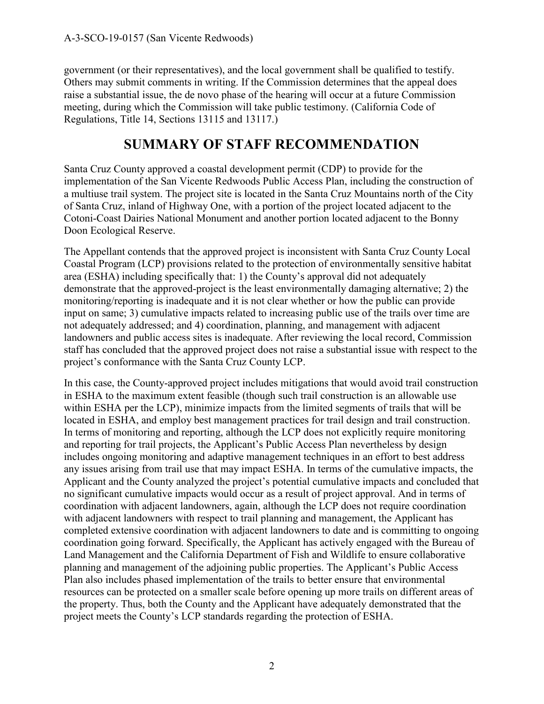government (or their representatives), and the local government shall be qualified to testify. Others may submit comments in writing. If the Commission determines that the appeal does raise a substantial issue, the de novo phase of the hearing will occur at a future Commission meeting, during which the Commission will take public testimony. (California Code of Regulations, Title 14, Sections 13115 and 13117.)

# **SUMMARY OF STAFF RECOMMENDATION**

Santa Cruz County approved a coastal development permit (CDP) to provide for the implementation of the San Vicente Redwoods Public Access Plan, including the construction of a multiuse trail system. The project site is located in the Santa Cruz Mountains north of the City of Santa Cruz, inland of Highway One, with a portion of the project located adjacent to the Cotoni-Coast Dairies National Monument and another portion located adjacent to the Bonny Doon Ecological Reserve.

The Appellant contends that the approved project is inconsistent with Santa Cruz County Local Coastal Program (LCP) provisions related to the protection of environmentally sensitive habitat area (ESHA) including specifically that: 1) the County's approval did not adequately demonstrate that the approved-project is the least environmentally damaging alternative; 2) the monitoring/reporting is inadequate and it is not clear whether or how the public can provide input on same; 3) cumulative impacts related to increasing public use of the trails over time are not adequately addressed; and 4) coordination, planning, and management with adjacent landowners and public access sites is inadequate. After reviewing the local record, Commission staff has concluded that the approved project does not raise a substantial issue with respect to the project's conformance with the Santa Cruz County LCP.

In this case, the County-approved project includes mitigations that would avoid trail construction in ESHA to the maximum extent feasible (though such trail construction is an allowable use within ESHA per the LCP), minimize impacts from the limited segments of trails that will be located in ESHA, and employ best management practices for trail design and trail construction. In terms of monitoring and reporting, although the LCP does not explicitly require monitoring and reporting for trail projects, the Applicant's Public Access Plan nevertheless by design includes ongoing monitoring and adaptive management techniques in an effort to best address any issues arising from trail use that may impact ESHA. In terms of the cumulative impacts, the Applicant and the County analyzed the project's potential cumulative impacts and concluded that no significant cumulative impacts would occur as a result of project approval. And in terms of coordination with adjacent landowners, again, although the LCP does not require coordination with adjacent landowners with respect to trail planning and management, the Applicant has completed extensive coordination with adjacent landowners to date and is committing to ongoing coordination going forward. Specifically, the Applicant has actively engaged with the Bureau of Land Management and the California Department of Fish and Wildlife to ensure collaborative planning and management of the adjoining public properties. The Applicant's Public Access Plan also includes phased implementation of the trails to better ensure that environmental resources can be protected on a smaller scale before opening up more trails on different areas of the property. Thus, both the County and the Applicant have adequately demonstrated that the project meets the County's LCP standards regarding the protection of ESHA.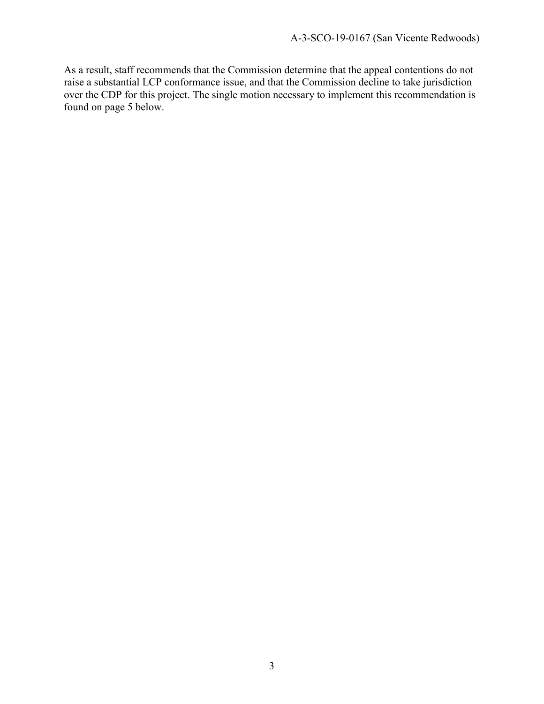As a result, staff recommends that the Commission determine that the appeal contentions do not raise a substantial LCP conformance issue, and that the Commission decline to take jurisdiction over the CDP for this project. The single motion necessary to implement this recommendation is found on page 5 below.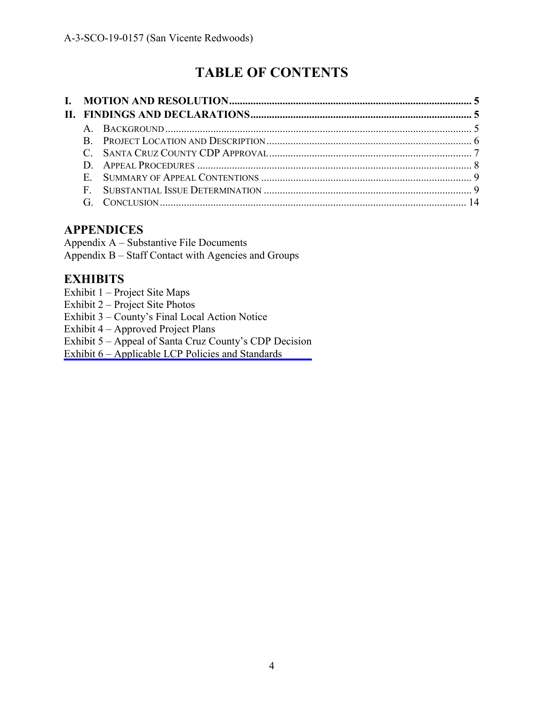# **TABLE OF CONTENTS**

# **APPENDICES**

Appendix A – Substantive File Documents Appendix B – Staff Contact with Agencies and Groups

## **EXHIBITS**

- Exhibit 1 Project Site Maps
- Exhibit 2 Project Site Photos
- Exhibit 3 County's Final Local Action Notice
- Exhibit 4 Approved Project Plans
- Exhibit 5 [Appeal of Santa Cruz County's CDP Decision](https://documents.coastal.ca.gov/reports/2019/9/W14b/W14b-9-2019-exhibits.pdf)
- Exhibit 6 Applicable LCP Policies and Standards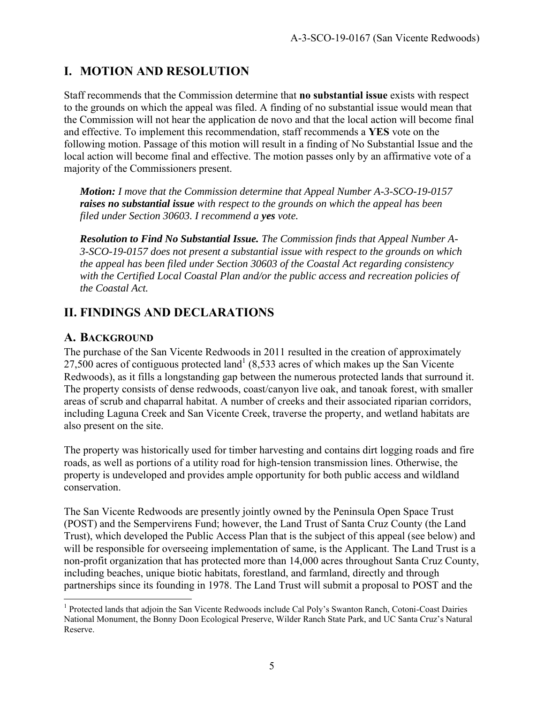# **I. MOTION AND RESOLUTION**

Staff recommends that the Commission determine that **no substantial issue** exists with respect to the grounds on which the appeal was filed. A finding of no substantial issue would mean that the Commission will not hear the application de novo and that the local action will become final and effective. To implement this recommendation, staff recommends a **YES** vote on the following motion. Passage of this motion will result in a finding of No Substantial Issue and the local action will become final and effective. The motion passes only by an affirmative vote of a majority of the Commissioners present.

*Motion: I move that the Commission determine that Appeal Number A-3-SCO-19-0157 raises no substantial issue with respect to the grounds on which the appeal has been filed under Section 30603. I recommend a yes vote.* 

*Resolution to Find No Substantial Issue. The Commission finds that Appeal Number A-3-SCO-19-0157 does not present a substantial issue with respect to the grounds on which the appeal has been filed under Section 30603 of the Coastal Act regarding consistency with the Certified Local Coastal Plan and/or the public access and recreation policies of the Coastal Act.* 

# **II. FINDINGS AND DECLARATIONS**

## **A. BACKGROUND**

The purchase of the San Vicente Redwoods in 2011 resulted in the creation of approximately 27,500 acres of contiguous protected land<sup>1</sup> (8,533 acres of which makes up the San Vicente) Redwoods), as it fills a longstanding gap between the numerous protected lands that surround it. The property consists of dense redwoods, coast/canyon live oak, and tanoak forest, with smaller areas of scrub and chaparral habitat. A number of creeks and their associated riparian corridors, including Laguna Creek and San Vicente Creek, traverse the property, and wetland habitats are also present on the site.

The property was historically used for timber harvesting and contains dirt logging roads and fire roads, as well as portions of a utility road for high-tension transmission lines. Otherwise, the property is undeveloped and provides ample opportunity for both public access and wildland conservation.

The San Vicente Redwoods are presently jointly owned by the Peninsula Open Space Trust (POST) and the Sempervirens Fund; however, the Land Trust of Santa Cruz County (the Land Trust), which developed the Public Access Plan that is the subject of this appeal (see below) and will be responsible for overseeing implementation of same, is the Applicant. The Land Trust is a non-profit organization that has protected more than 14,000 acres throughout Santa Cruz County, including beaches, unique biotic habitats, forestland, and farmland, directly and through partnerships since its founding in 1978. The Land Trust will submit a proposal to POST and the

 $\overline{a}$ <sup>1</sup> Protected lands that adjoin the San Vicente Redwoods include Cal Poly's Swanton Ranch, Cotoni-Coast Dairies National Monument, the Bonny Doon Ecological Preserve, Wilder Ranch State Park, and UC Santa Cruz's Natural Reserve.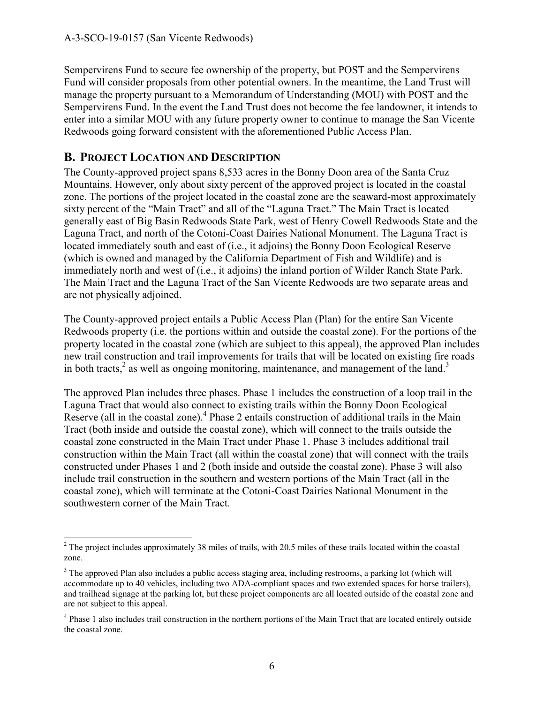Sempervirens Fund to secure fee ownership of the property, but POST and the Sempervirens Fund will consider proposals from other potential owners. In the meantime, the Land Trust will manage the property pursuant to a Memorandum of Understanding (MOU) with POST and the Sempervirens Fund. In the event the Land Trust does not become the fee landowner, it intends to enter into a similar MOU with any future property owner to continue to manage the San Vicente Redwoods going forward consistent with the aforementioned Public Access Plan.

## **B. PROJECT LOCATION AND DESCRIPTION**

The County-approved project spans 8,533 acres in the Bonny Doon area of the Santa Cruz Mountains. However, only about sixty percent of the approved project is located in the coastal zone. The portions of the project located in the coastal zone are the seaward-most approximately sixty percent of the "Main Tract" and all of the "Laguna Tract." The Main Tract is located generally east of Big Basin Redwoods State Park, west of Henry Cowell Redwoods State and the Laguna Tract, and north of the Cotoni-Coast Dairies National Monument. The Laguna Tract is located immediately south and east of (i.e., it adjoins) the Bonny Doon Ecological Reserve (which is owned and managed by the California Department of Fish and Wildlife) and is immediately north and west of (i.e., it adjoins) the inland portion of Wilder Ranch State Park. The Main Tract and the Laguna Tract of the San Vicente Redwoods are two separate areas and are not physically adjoined.

The County-approved project entails a Public Access Plan (Plan) for the entire San Vicente Redwoods property (i.e. the portions within and outside the coastal zone). For the portions of the property located in the coastal zone (which are subject to this appeal), the approved Plan includes new trail construction and trail improvements for trails that will be located on existing fire roads in both tracts,<sup>2</sup> as well as ongoing monitoring, maintenance, and management of the land.<sup>3</sup>

The approved Plan includes three phases. Phase 1 includes the construction of a loop trail in the Laguna Tract that would also connect to existing trails within the Bonny Doon Ecological Reserve (all in the coastal zone).<sup>4</sup> Phase 2 entails construction of additional trails in the Main Tract (both inside and outside the coastal zone), which will connect to the trails outside the coastal zone constructed in the Main Tract under Phase 1. Phase 3 includes additional trail construction within the Main Tract (all within the coastal zone) that will connect with the trails constructed under Phases 1 and 2 (both inside and outside the coastal zone). Phase 3 will also include trail construction in the southern and western portions of the Main Tract (all in the coastal zone), which will terminate at the Cotoni-Coast Dairies National Monument in the southwestern corner of the Main Tract.

<sup>&</sup>lt;sup>2</sup> The project includes approximately 38 miles of trails, with 20.5 miles of these trails located within the coastal zone.

<sup>&</sup>lt;sup>3</sup> The approved Plan also includes a public access staging area, including restrooms, a parking lot (which will accommodate up to 40 vehicles, including two ADA-compliant spaces and two extended spaces for horse trailers), and trailhead signage at the parking lot, but these project components are all located outside of the coastal zone and are not subject to this appeal.

<sup>&</sup>lt;sup>4</sup> Phase 1 also includes trail construction in the northern portions of the Main Tract that are located entirely outside the coastal zone.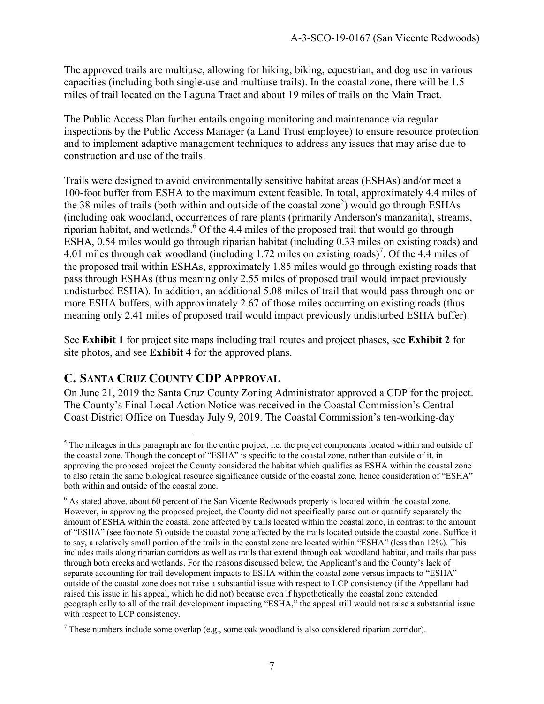The approved trails are multiuse, allowing for hiking, biking, equestrian, and dog use in various capacities (including both single-use and multiuse trails). In the coastal zone, there will be 1.5 miles of trail located on the Laguna Tract and about 19 miles of trails on the Main Tract.

The Public Access Plan further entails ongoing monitoring and maintenance via regular inspections by the Public Access Manager (a Land Trust employee) to ensure resource protection and to implement adaptive management techniques to address any issues that may arise due to construction and use of the trails.

Trails were designed to avoid environmentally sensitive habitat areas (ESHAs) and/or meet a 100-foot buffer from ESHA to the maximum extent feasible. In total, approximately 4.4 miles of the 38 miles of trails (both within and outside of the coastal zone<sup>5</sup>) would go through ESHAs (including oak woodland, occurrences of rare plants (primarily Anderson's manzanita), streams, riparian habitat, and wetlands.<sup>6</sup> Of the 4.4 miles of the proposed trail that would go through ESHA, 0.54 miles would go through riparian habitat (including 0.33 miles on existing roads) and 4.01 miles through oak woodland (including 1.72 miles on existing roads)<sup>7</sup>. Of the 4.4 miles of the proposed trail within ESHAs, approximately 1.85 miles would go through existing roads that pass through ESHAs (thus meaning only 2.55 miles of proposed trail would impact previously undisturbed ESHA). In addition, an additional 5.08 miles of trail that would pass through one or more ESHA buffers, with approximately 2.67 of those miles occurring on existing roads (thus meaning only 2.41 miles of proposed trail would impact previously undisturbed ESHA buffer).

See **Exhibit 1** for project site maps including trail routes and project phases, see **Exhibit 2** for site photos, and see **Exhibit 4** for the approved plans.

# **C. SANTA CRUZ COUNTY CDP APPROVAL**

On June 21, 2019 the Santa Cruz County Zoning Administrator approved a CDP for the project. The County's Final Local Action Notice was received in the Coastal Commission's Central Coast District Office on Tuesday July 9, 2019. The Coastal Commission's ten-working-day

 $\overline{a}$  $<sup>5</sup>$  The mileages in this paragraph are for the entire project, i.e. the project components located within and outside of</sup> the coastal zone. Though the concept of "ESHA" is specific to the coastal zone, rather than outside of it, in approving the proposed project the County considered the habitat which qualifies as ESHA within the coastal zone to also retain the same biological resource significance outside of the coastal zone, hence consideration of "ESHA" both within and outside of the coastal zone.

<sup>&</sup>lt;sup>6</sup> As stated above, about 60 percent of the San Vicente Redwoods property is located within the coastal zone. However, in approving the proposed project, the County did not specifically parse out or quantify separately the amount of ESHA within the coastal zone affected by trails located within the coastal zone, in contrast to the amount of "ESHA" (see footnote 5) outside the coastal zone affected by the trails located outside the coastal zone. Suffice it to say, a relatively small portion of the trails in the coastal zone are located within "ESHA" (less than 12%). This includes trails along riparian corridors as well as trails that extend through oak woodland habitat, and trails that pass through both creeks and wetlands. For the reasons discussed below, the Applicant's and the County's lack of separate accounting for trail development impacts to ESHA within the coastal zone versus impacts to "ESHA" outside of the coastal zone does not raise a substantial issue with respect to LCP consistency (if the Appellant had raised this issue in his appeal, which he did not) because even if hypothetically the coastal zone extended geographically to all of the trail development impacting "ESHA," the appeal still would not raise a substantial issue with respect to LCP consistency.

 $<sup>7</sup>$  These numbers include some overlap (e.g., some oak woodland is also considered riparian corridor).</sup>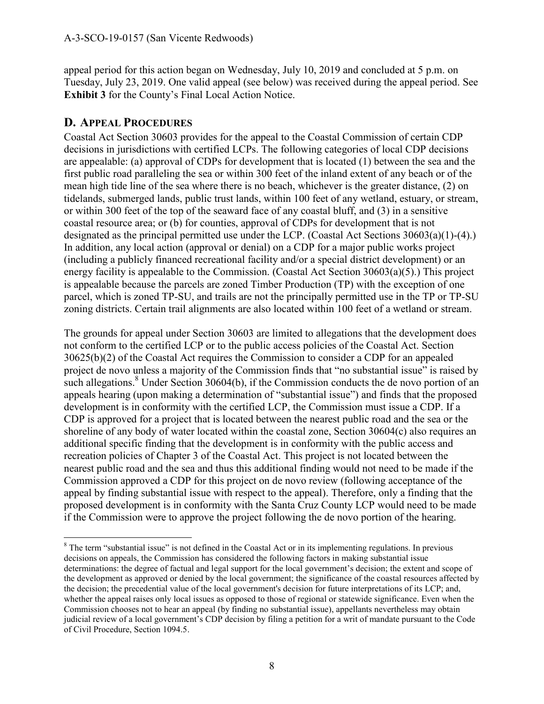appeal period for this action began on Wednesday, July 10, 2019 and concluded at 5 p.m. on Tuesday, July 23, 2019. One valid appeal (see below) was received during the appeal period. See **Exhibit 3** for the County's Final Local Action Notice.

## **D. APPEAL PROCEDURES**

Coastal Act Section 30603 provides for the appeal to the Coastal Commission of certain CDP decisions in jurisdictions with certified LCPs. The following categories of local CDP decisions are appealable: (a) approval of CDPs for development that is located (1) between the sea and the first public road paralleling the sea or within 300 feet of the inland extent of any beach or of the mean high tide line of the sea where there is no beach, whichever is the greater distance, (2) on tidelands, submerged lands, public trust lands, within 100 feet of any wetland, estuary, or stream, or within 300 feet of the top of the seaward face of any coastal bluff, and (3) in a sensitive coastal resource area; or (b) for counties, approval of CDPs for development that is not designated as the principal permitted use under the LCP. (Coastal Act Sections 30603(a)(1)-(4).) In addition, any local action (approval or denial) on a CDP for a major public works project (including a publicly financed recreational facility and/or a special district development) or an energy facility is appealable to the Commission. (Coastal Act Section 30603(a)(5).) This project is appealable because the parcels are zoned Timber Production (TP) with the exception of one parcel, which is zoned TP-SU, and trails are not the principally permitted use in the TP or TP-SU zoning districts. Certain trail alignments are also located within 100 feet of a wetland or stream.

The grounds for appeal under Section 30603 are limited to allegations that the development does not conform to the certified LCP or to the public access policies of the Coastal Act. Section 30625(b)(2) of the Coastal Act requires the Commission to consider a CDP for an appealed project de novo unless a majority of the Commission finds that "no substantial issue" is raised by such allegations.<sup>8</sup> Under Section 30604(b), if the Commission conducts the de novo portion of an appeals hearing (upon making a determination of "substantial issue") and finds that the proposed development is in conformity with the certified LCP, the Commission must issue a CDP. If a CDP is approved for a project that is located between the nearest public road and the sea or the shoreline of any body of water located within the coastal zone, Section 30604(c) also requires an additional specific finding that the development is in conformity with the public access and recreation policies of Chapter 3 of the Coastal Act. This project is not located between the nearest public road and the sea and thus this additional finding would not need to be made if the Commission approved a CDP for this project on de novo review (following acceptance of the appeal by finding substantial issue with respect to the appeal). Therefore, only a finding that the proposed development is in conformity with the Santa Cruz County LCP would need to be made if the Commission were to approve the project following the de novo portion of the hearing.

 $\overline{a}$ <sup>8</sup> The term "substantial issue" is not defined in the Coastal Act or in its implementing regulations. In previous decisions on appeals, the Commission has considered the following factors in making substantial issue determinations: the degree of factual and legal support for the local government's decision; the extent and scope of the development as approved or denied by the local government; the significance of the coastal resources affected by the decision; the precedential value of the local government's decision for future interpretations of its LCP; and, whether the appeal raises only local issues as opposed to those of regional or statewide significance. Even when the Commission chooses not to hear an appeal (by finding no substantial issue), appellants nevertheless may obtain judicial review of a local government's CDP decision by filing a petition for a writ of mandate pursuant to the Code of Civil Procedure, Section 1094.5.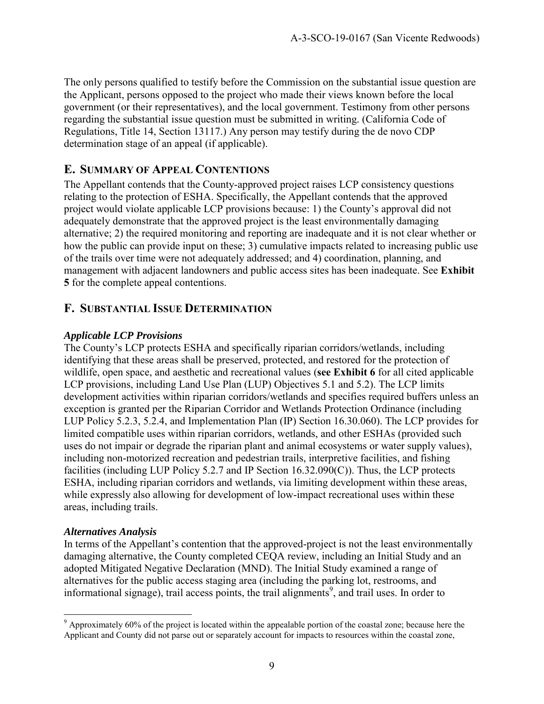The only persons qualified to testify before the Commission on the substantial issue question are the Applicant, persons opposed to the project who made their views known before the local government (or their representatives), and the local government. Testimony from other persons regarding the substantial issue question must be submitted in writing. (California Code of Regulations, Title 14, Section 13117.) Any person may testify during the de novo CDP determination stage of an appeal (if applicable).

### **E. SUMMARY OF APPEAL CONTENTIONS**

The Appellant contends that the County-approved project raises LCP consistency questions relating to the protection of ESHA. Specifically, the Appellant contends that the approved project would violate applicable LCP provisions because: 1) the County's approval did not adequately demonstrate that the approved project is the least environmentally damaging alternative; 2) the required monitoring and reporting are inadequate and it is not clear whether or how the public can provide input on these; 3) cumulative impacts related to increasing public use of the trails over time were not adequately addressed; and 4) coordination, planning, and management with adjacent landowners and public access sites has been inadequate. See **Exhibit 5** for the complete appeal contentions.

### **F. SUBSTANTIAL ISSUE DETERMINATION**

#### *Applicable LCP Provisions*

The County's LCP protects ESHA and specifically riparian corridors/wetlands, including identifying that these areas shall be preserved, protected, and restored for the protection of wildlife, open space, and aesthetic and recreational values (**see Exhibit 6** for all cited applicable LCP provisions, including Land Use Plan (LUP) Objectives 5.1 and 5.2). The LCP limits development activities within riparian corridors/wetlands and specifies required buffers unless an exception is granted per the Riparian Corridor and Wetlands Protection Ordinance (including LUP Policy 5.2.3, 5.2.4, and Implementation Plan (IP) Section 16.30.060). The LCP provides for limited compatible uses within riparian corridors, wetlands, and other ESHAs (provided such uses do not impair or degrade the riparian plant and animal ecosystems or water supply values), including non-motorized recreation and pedestrian trails, interpretive facilities, and fishing facilities (including LUP Policy 5.2.7 and IP Section 16.32.090(C)). Thus, the LCP protects ESHA, including riparian corridors and wetlands, via limiting development within these areas, while expressly also allowing for development of low-impact recreational uses within these areas, including trails.

#### *Alternatives Analysis*

In terms of the Appellant's contention that the approved-project is not the least environmentally damaging alternative, the County completed CEQA review, including an Initial Study and an adopted Mitigated Negative Declaration (MND). The Initial Study examined a range of alternatives for the public access staging area (including the parking lot, restrooms, and informational signage), trail access points, the trail alignments<sup>9</sup>, and trail uses. In order to

 $\overline{a}$  $9$  Approximately 60% of the project is located within the appealable portion of the coastal zone; because here the Applicant and County did not parse out or separately account for impacts to resources within the coastal zone,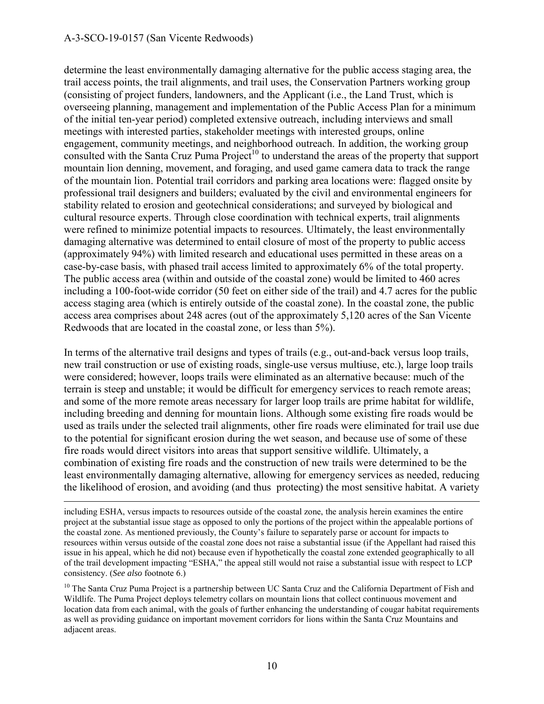#### A-3-SCO-19-0157 (San Vicente Redwoods)

determine the least environmentally damaging alternative for the public access staging area, the trail access points, the trail alignments, and trail uses, the Conservation Partners working group (consisting of project funders, landowners, and the Applicant (i.e., the Land Trust, which is overseeing planning, management and implementation of the Public Access Plan for a minimum of the initial ten-year period) completed extensive outreach, including interviews and small meetings with interested parties, stakeholder meetings with interested groups, online engagement, community meetings, and neighborhood outreach. In addition, the working group consulted with the Santa Cruz Puma  $Project<sup>10</sup>$  to understand the areas of the property that support mountain lion denning, movement, and foraging, and used game camera data to track the range of the mountain lion. Potential trail corridors and parking area locations were: flagged onsite by professional trail designers and builders; evaluated by the civil and environmental engineers for stability related to erosion and geotechnical considerations; and surveyed by biological and cultural resource experts. Through close coordination with technical experts, trail alignments were refined to minimize potential impacts to resources. Ultimately, the least environmentally damaging alternative was determined to entail closure of most of the property to public access (approximately 94%) with limited research and educational uses permitted in these areas on a case-by-case basis, with phased trail access limited to approximately 6% of the total property. The public access area (within and outside of the coastal zone) would be limited to 460 acres including a 100-foot-wide corridor (50 feet on either side of the trail) and 4.7 acres for the public access staging area (which is entirely outside of the coastal zone). In the coastal zone, the public access area comprises about 248 acres (out of the approximately 5,120 acres of the San Vicente Redwoods that are located in the coastal zone, or less than 5%).

In terms of the alternative trail designs and types of trails (e.g., out-and-back versus loop trails, new trail construction or use of existing roads, single-use versus multiuse, etc.), large loop trails were considered; however, loops trails were eliminated as an alternative because: much of the terrain is steep and unstable; it would be difficult for emergency services to reach remote areas; and some of the more remote areas necessary for larger loop trails are prime habitat for wildlife, including breeding and denning for mountain lions. Although some existing fire roads would be used as trails under the selected trail alignments, other fire roads were eliminated for trail use due to the potential for significant erosion during the wet season, and because use of some of these fire roads would direct visitors into areas that support sensitive wildlife. Ultimately, a combination of existing fire roads and the construction of new trails were determined to be the least environmentally damaging alternative, allowing for emergency services as needed, reducing the likelihood of erosion, and avoiding (and thus protecting) the most sensitive habitat. A variety

 $\overline{a}$ including ESHA, versus impacts to resources outside of the coastal zone, the analysis herein examines the entire project at the substantial issue stage as opposed to only the portions of the project within the appealable portions of the coastal zone. As mentioned previously, the County's failure to separately parse or account for impacts to resources within versus outside of the coastal zone does not raise a substantial issue (if the Appellant had raised this issue in his appeal, which he did not) because even if hypothetically the coastal zone extended geographically to all of the trail development impacting "ESHA," the appeal still would not raise a substantial issue with respect to LCP consistency. (*See also* footnote 6.)

 $10$  The Santa Cruz Puma Project is a partnership between UC Santa Cruz and the California Department of Fish and Wildlife. The Puma Project deploys telemetry collars on mountain lions that collect continuous movement and location data from each animal, with the goals of further enhancing the understanding of cougar habitat requirements as well as providing guidance on important movement corridors for lions within the Santa Cruz Mountains and adjacent areas.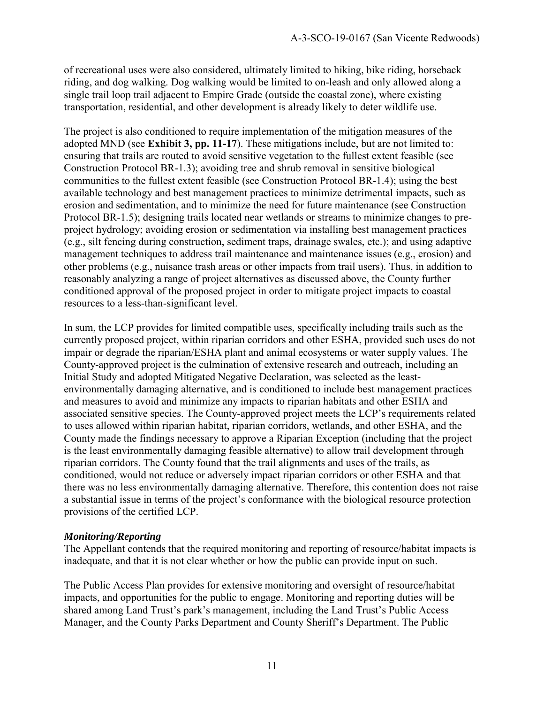of recreational uses were also considered, ultimately limited to hiking, bike riding, horseback riding, and dog walking. Dog walking would be limited to on-leash and only allowed along a single trail loop trail adjacent to Empire Grade (outside the coastal zone), where existing transportation, residential, and other development is already likely to deter wildlife use.

The project is also conditioned to require implementation of the mitigation measures of the adopted MND (see **Exhibit 3, pp. 11-17**). These mitigations include, but are not limited to: ensuring that trails are routed to avoid sensitive vegetation to the fullest extent feasible (see Construction Protocol BR-1.3); avoiding tree and shrub removal in sensitive biological communities to the fullest extent feasible (see Construction Protocol BR-1.4); using the best available technology and best management practices to minimize detrimental impacts, such as erosion and sedimentation, and to minimize the need for future maintenance (see Construction Protocol BR-1.5); designing trails located near wetlands or streams to minimize changes to preproject hydrology; avoiding erosion or sedimentation via installing best management practices (e.g., silt fencing during construction, sediment traps, drainage swales, etc.); and using adaptive management techniques to address trail maintenance and maintenance issues (e.g., erosion) and other problems (e.g., nuisance trash areas or other impacts from trail users). Thus, in addition to reasonably analyzing a range of project alternatives as discussed above, the County further conditioned approval of the proposed project in order to mitigate project impacts to coastal resources to a less-than-significant level.

In sum, the LCP provides for limited compatible uses, specifically including trails such as the currently proposed project, within riparian corridors and other ESHA, provided such uses do not impair or degrade the riparian/ESHA plant and animal ecosystems or water supply values. The County-approved project is the culmination of extensive research and outreach, including an Initial Study and adopted Mitigated Negative Declaration, was selected as the leastenvironmentally damaging alternative, and is conditioned to include best management practices and measures to avoid and minimize any impacts to riparian habitats and other ESHA and associated sensitive species. The County-approved project meets the LCP's requirements related to uses allowed within riparian habitat, riparian corridors, wetlands, and other ESHA, and the County made the findings necessary to approve a Riparian Exception (including that the project is the least environmentally damaging feasible alternative) to allow trail development through riparian corridors. The County found that the trail alignments and uses of the trails, as conditioned, would not reduce or adversely impact riparian corridors or other ESHA and that there was no less environmentally damaging alternative. Therefore, this contention does not raise a substantial issue in terms of the project's conformance with the biological resource protection provisions of the certified LCP.

#### *Monitoring/Reporting*

The Appellant contends that the required monitoring and reporting of resource/habitat impacts is inadequate, and that it is not clear whether or how the public can provide input on such.

The Public Access Plan provides for extensive monitoring and oversight of resource/habitat impacts, and opportunities for the public to engage. Monitoring and reporting duties will be shared among Land Trust's park's management, including the Land Trust's Public Access Manager, and the County Parks Department and County Sheriff's Department. The Public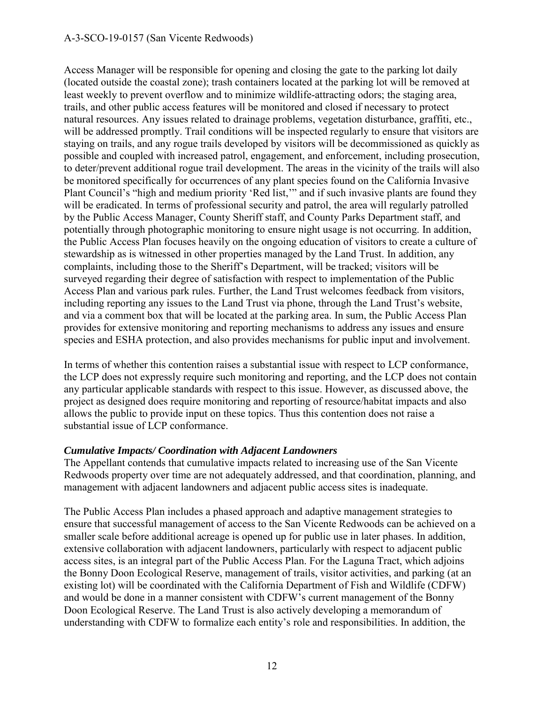#### A-3-SCO-19-0157 (San Vicente Redwoods)

Access Manager will be responsible for opening and closing the gate to the parking lot daily (located outside the coastal zone); trash containers located at the parking lot will be removed at least weekly to prevent overflow and to minimize wildlife-attracting odors; the staging area, trails, and other public access features will be monitored and closed if necessary to protect natural resources. Any issues related to drainage problems, vegetation disturbance, graffiti, etc., will be addressed promptly. Trail conditions will be inspected regularly to ensure that visitors are staying on trails, and any rogue trails developed by visitors will be decommissioned as quickly as possible and coupled with increased patrol, engagement, and enforcement, including prosecution, to deter/prevent additional rogue trail development. The areas in the vicinity of the trails will also be monitored specifically for occurrences of any plant species found on the California Invasive Plant Council's "high and medium priority 'Red list,'" and if such invasive plants are found they will be eradicated. In terms of professional security and patrol, the area will regularly patrolled by the Public Access Manager, County Sheriff staff, and County Parks Department staff, and potentially through photographic monitoring to ensure night usage is not occurring. In addition, the Public Access Plan focuses heavily on the ongoing education of visitors to create a culture of stewardship as is witnessed in other properties managed by the Land Trust. In addition, any complaints, including those to the Sheriff's Department, will be tracked; visitors will be surveyed regarding their degree of satisfaction with respect to implementation of the Public Access Plan and various park rules. Further, the Land Trust welcomes feedback from visitors, including reporting any issues to the Land Trust via phone, through the Land Trust's website, and via a comment box that will be located at the parking area. In sum, the Public Access Plan provides for extensive monitoring and reporting mechanisms to address any issues and ensure species and ESHA protection, and also provides mechanisms for public input and involvement.

In terms of whether this contention raises a substantial issue with respect to LCP conformance, the LCP does not expressly require such monitoring and reporting, and the LCP does not contain any particular applicable standards with respect to this issue. However, as discussed above, the project as designed does require monitoring and reporting of resource/habitat impacts and also allows the public to provide input on these topics. Thus this contention does not raise a substantial issue of LCP conformance.

#### *Cumulative Impacts/ Coordination with Adjacent Landowners*

The Appellant contends that cumulative impacts related to increasing use of the San Vicente Redwoods property over time are not adequately addressed, and that coordination, planning, and management with adjacent landowners and adjacent public access sites is inadequate.

The Public Access Plan includes a phased approach and adaptive management strategies to ensure that successful management of access to the San Vicente Redwoods can be achieved on a smaller scale before additional acreage is opened up for public use in later phases. In addition, extensive collaboration with adjacent landowners, particularly with respect to adjacent public access sites, is an integral part of the Public Access Plan. For the Laguna Tract, which adjoins the Bonny Doon Ecological Reserve, management of trails, visitor activities, and parking (at an existing lot) will be coordinated with the California Department of Fish and Wildlife (CDFW) and would be done in a manner consistent with CDFW's current management of the Bonny Doon Ecological Reserve. The Land Trust is also actively developing a memorandum of understanding with CDFW to formalize each entity's role and responsibilities. In addition, the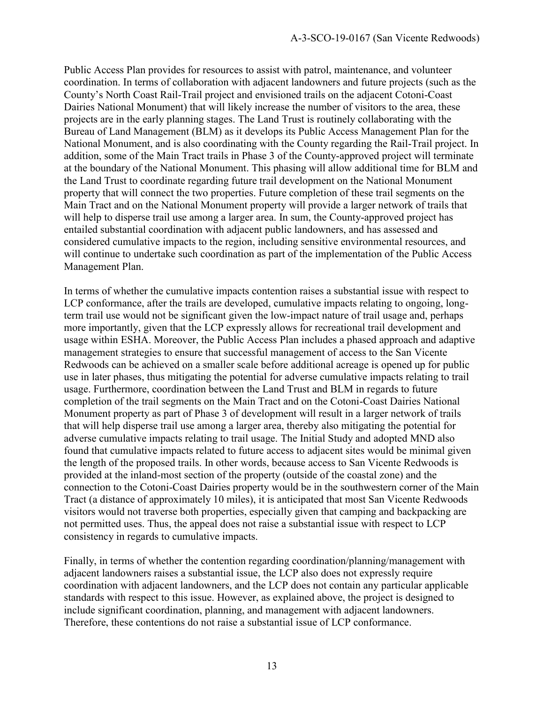Public Access Plan provides for resources to assist with patrol, maintenance, and volunteer coordination. In terms of collaboration with adjacent landowners and future projects (such as the County's North Coast Rail-Trail project and envisioned trails on the adjacent Cotoni-Coast Dairies National Monument) that will likely increase the number of visitors to the area, these projects are in the early planning stages. The Land Trust is routinely collaborating with the Bureau of Land Management (BLM) as it develops its Public Access Management Plan for the National Monument, and is also coordinating with the County regarding the Rail-Trail project. In addition, some of the Main Tract trails in Phase 3 of the County-approved project will terminate at the boundary of the National Monument. This phasing will allow additional time for BLM and the Land Trust to coordinate regarding future trail development on the National Monument property that will connect the two properties. Future completion of these trail segments on the Main Tract and on the National Monument property will provide a larger network of trails that will help to disperse trail use among a larger area. In sum, the County-approved project has entailed substantial coordination with adjacent public landowners, and has assessed and considered cumulative impacts to the region, including sensitive environmental resources, and will continue to undertake such coordination as part of the implementation of the Public Access Management Plan.

In terms of whether the cumulative impacts contention raises a substantial issue with respect to LCP conformance, after the trails are developed, cumulative impacts relating to ongoing, longterm trail use would not be significant given the low-impact nature of trail usage and, perhaps more importantly, given that the LCP expressly allows for recreational trail development and usage within ESHA. Moreover, the Public Access Plan includes a phased approach and adaptive management strategies to ensure that successful management of access to the San Vicente Redwoods can be achieved on a smaller scale before additional acreage is opened up for public use in later phases, thus mitigating the potential for adverse cumulative impacts relating to trail usage. Furthermore, coordination between the Land Trust and BLM in regards to future completion of the trail segments on the Main Tract and on the Cotoni-Coast Dairies National Monument property as part of Phase 3 of development will result in a larger network of trails that will help disperse trail use among a larger area, thereby also mitigating the potential for adverse cumulative impacts relating to trail usage. The Initial Study and adopted MND also found that cumulative impacts related to future access to adjacent sites would be minimal given the length of the proposed trails. In other words, because access to San Vicente Redwoods is provided at the inland-most section of the property (outside of the coastal zone) and the connection to the Cotoni-Coast Dairies property would be in the southwestern corner of the Main Tract (a distance of approximately 10 miles), it is anticipated that most San Vicente Redwoods visitors would not traverse both properties, especially given that camping and backpacking are not permitted uses. Thus, the appeal does not raise a substantial issue with respect to LCP consistency in regards to cumulative impacts.

Finally, in terms of whether the contention regarding coordination/planning/management with adjacent landowners raises a substantial issue, the LCP also does not expressly require coordination with adjacent landowners, and the LCP does not contain any particular applicable standards with respect to this issue. However, as explained above, the project is designed to include significant coordination, planning, and management with adjacent landowners. Therefore, these contentions do not raise a substantial issue of LCP conformance.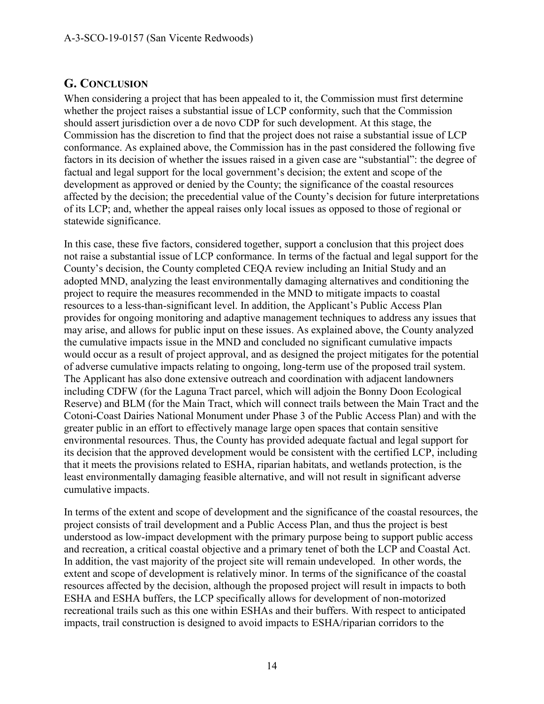## **G. CONCLUSION**

When considering a project that has been appealed to it, the Commission must first determine whether the project raises a substantial issue of LCP conformity, such that the Commission should assert jurisdiction over a de novo CDP for such development. At this stage, the Commission has the discretion to find that the project does not raise a substantial issue of LCP conformance. As explained above, the Commission has in the past considered the following five factors in its decision of whether the issues raised in a given case are "substantial": the degree of factual and legal support for the local government's decision; the extent and scope of the development as approved or denied by the County; the significance of the coastal resources affected by the decision; the precedential value of the County's decision for future interpretations of its LCP; and, whether the appeal raises only local issues as opposed to those of regional or statewide significance.

In this case, these five factors, considered together, support a conclusion that this project does not raise a substantial issue of LCP conformance. In terms of the factual and legal support for the County's decision, the County completed CEQA review including an Initial Study and an adopted MND, analyzing the least environmentally damaging alternatives and conditioning the project to require the measures recommended in the MND to mitigate impacts to coastal resources to a less-than-significant level. In addition, the Applicant's Public Access Plan provides for ongoing monitoring and adaptive management techniques to address any issues that may arise, and allows for public input on these issues. As explained above, the County analyzed the cumulative impacts issue in the MND and concluded no significant cumulative impacts would occur as a result of project approval, and as designed the project mitigates for the potential of adverse cumulative impacts relating to ongoing, long-term use of the proposed trail system. The Applicant has also done extensive outreach and coordination with adjacent landowners including CDFW (for the Laguna Tract parcel, which will adjoin the Bonny Doon Ecological Reserve) and BLM (for the Main Tract, which will connect trails between the Main Tract and the Cotoni-Coast Dairies National Monument under Phase 3 of the Public Access Plan) and with the greater public in an effort to effectively manage large open spaces that contain sensitive environmental resources. Thus, the County has provided adequate factual and legal support for its decision that the approved development would be consistent with the certified LCP, including that it meets the provisions related to ESHA, riparian habitats, and wetlands protection, is the least environmentally damaging feasible alternative, and will not result in significant adverse cumulative impacts.

In terms of the extent and scope of development and the significance of the coastal resources, the project consists of trail development and a Public Access Plan, and thus the project is best understood as low-impact development with the primary purpose being to support public access and recreation, a critical coastal objective and a primary tenet of both the LCP and Coastal Act. In addition, the vast majority of the project site will remain undeveloped. In other words, the extent and scope of development is relatively minor. In terms of the significance of the coastal resources affected by the decision, although the proposed project will result in impacts to both ESHA and ESHA buffers, the LCP specifically allows for development of non-motorized recreational trails such as this one within ESHAs and their buffers. With respect to anticipated impacts, trail construction is designed to avoid impacts to ESHA/riparian corridors to the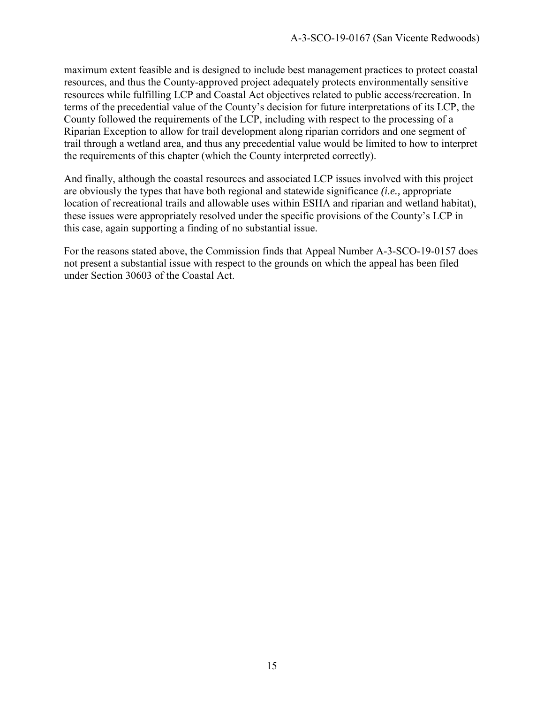maximum extent feasible and is designed to include best management practices to protect coastal resources, and thus the County-approved project adequately protects environmentally sensitive resources while fulfilling LCP and Coastal Act objectives related to public access/recreation. In terms of the precedential value of the County's decision for future interpretations of its LCP, the County followed the requirements of the LCP, including with respect to the processing of a Riparian Exception to allow for trail development along riparian corridors and one segment of trail through a wetland area, and thus any precedential value would be limited to how to interpret the requirements of this chapter (which the County interpreted correctly).

And finally, although the coastal resources and associated LCP issues involved with this project are obviously the types that have both regional and statewide significance *(i.e.,* appropriate location of recreational trails and allowable uses within ESHA and riparian and wetland habitat), these issues were appropriately resolved under the specific provisions of the County's LCP in this case, again supporting a finding of no substantial issue.

For the reasons stated above, the Commission finds that Appeal Number A-3-SCO-19-0157 does not present a substantial issue with respect to the grounds on which the appeal has been filed under Section 30603 of the Coastal Act.